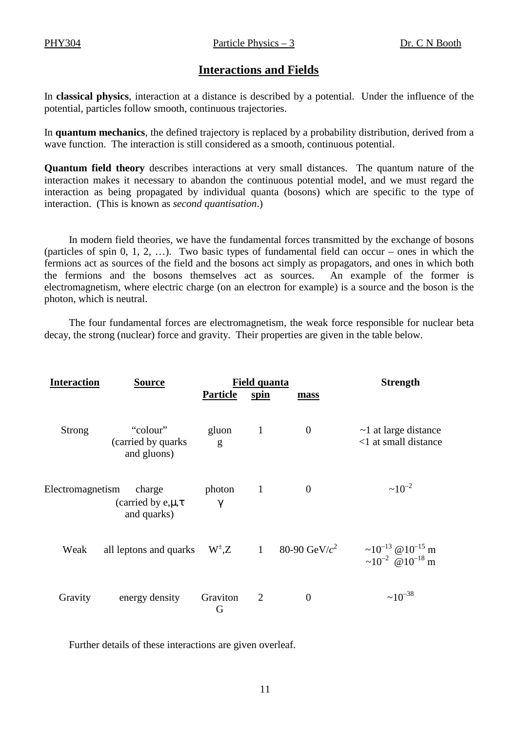## **Interactions and Fields**

In **classical physics**, interaction at a distance is described by a potential. Under the influence of the potential, particles follow smooth, continuous trajectories.

In **quantum mechanics**, the defined trajectory is replaced by a probability distribution, derived from a wave function. The interaction is still considered as a smooth, continuous potential.

**Quantum field theory** describes interactions at very small distances. The quantum nature of the interaction makes it necessary to abandon the continuous potential model, and we must regard the interaction as being propagated by individual quanta (bosons) which are specific to the type of interaction. (This is known as *second quantisation*.)

In modern field theories, we have the fundamental forces transmitted by the exchange of bosons (particles of spin 0, 1, 2, …). Two basic types of fundamental field can occur – ones in which the fermions act as sources of the field and the bosons act simply as propagators, and ones in which both the fermions and the bosons themselves act as sources. An example of the former is electromagnetism, where electric charge (on an electron for example) is a source and the boson is the photon, which is neutral.

The four fundamental forces are electromagnetism, the weak force responsible for nuclear beta decay, the strong (nuclear) force and gravity. Their properties are given in the table below.

| <b>Interaction</b> | <b>Source</b>                                       | <b>Field quanta</b> |                |                  | <b>Strength</b>                                                                    |
|--------------------|-----------------------------------------------------|---------------------|----------------|------------------|------------------------------------------------------------------------------------|
|                    |                                                     | <b>Particle</b>     | <u>spin</u>    | mass             |                                                                                    |
| <b>Strong</b>      | "colour"<br>(carried by quarks)<br>and gluons)      | gluon<br>g          | $\mathbf{1}$   | $\overline{0}$   | $\sim$ 1 at large distance<br><1 at small distance                                 |
| Electromagnetism   | charge<br>(carried by $e, \mu, \tau$<br>and quarks) | photon<br>$\gamma$  | $\mathbf{1}$   | $\theta$         | $~10^{-2}$                                                                         |
| Weak               | all leptons and quarks                              | $W^{\pm}$ , Z 1     |                | 80-90 GeV/ $c^2$ | ~10 <sup>-13</sup> @ 10 <sup>-15</sup> m<br>~10 <sup>-2</sup> @10 <sup>-18</sup> m |
| Gravity            | energy density                                      | Graviton<br>G       | $\overline{2}$ | $\overline{0}$   | $~10^{-38}$                                                                        |

Further details of these interactions are given overleaf.